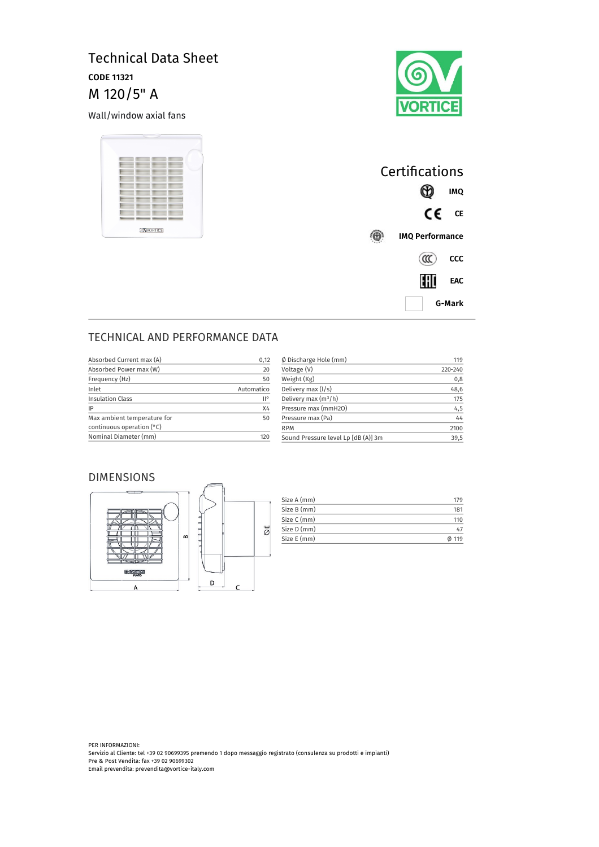# Technical Data Sheet **CODE 11321** M 120/5" A

Wall/window axial fans





| Certifications         |            |            |
|------------------------|------------|------------|
|                        |            | IMQ        |
|                        | CE         | <b>CE</b>  |
| <b>IMQ Performance</b> |            |            |
|                        | $(\alpha)$ | CCC        |
|                        | HII        | <b>EAC</b> |
| G-Mark                 |            |            |

## TECHNICAL AND PERFORMANCE DATA

| Absorbed Current max (A)    | 0,12                | $\phi$ Discharge Hole (mm)          | 119     |
|-----------------------------|---------------------|-------------------------------------|---------|
| Absorbed Power max (W)      | 20                  | Voltage (V)                         | 220-240 |
| Frequency (Hz)              | 50                  | Weight (Kg)                         | 0,8     |
| Inlet                       | Automatico          | Delivery max $(l/s)$                | 48,6    |
| <b>Insulation Class</b>     | $\mathsf{II}^\circ$ | Delivery max $(m^3/h)$              | 175     |
| IP                          | X4                  | Pressure max (mmH2O)                | 4,5     |
| Max ambient temperature for | 50                  | Pressure max (Pa)                   | 44      |
| continuous operation $(°C)$ |                     | <b>RPM</b>                          | 2100    |
| Nominal Diameter (mm)       | 120                 | Sound Pressure level Lp [dB (A)] 3m | 39,5    |

#### DIMENSIONS



| Size A (mm) | 179   |
|-------------|-------|
| Size B (mm) | 181   |
| Size C (mm) | 110   |
| Size D (mm) | 47    |
| Size E (mm) | 0.119 |

PER INFORMAZIONI: Servizio al Cliente: tel +39 02 90699395 premendo 1 dopo messaggio registrato (consulenza su prodotti e impianti) Pre & Post Vendita: fax +39 02 90699302 Email prevendita: prevendita@vortice-italy.com